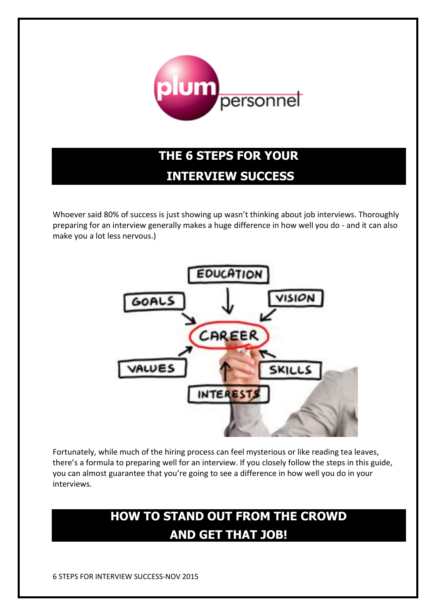

# **THE 6 STEPS FOR YOUR INTERVIEW SUCCESS**

Whoever said 80% of success is just showing up wasn't thinking about job interviews. Thoroughly preparing for an interview generally makes a huge difference in how well you do - and it can also make you a lot less nervous.)



Fortunately, while much of the hiring process can feel mysterious or like reading tea leaves, there's a formula to preparing well for an interview. If you closely follow the steps in this guide, you can almost guarantee that you're going to see a difference in how well you do in your interviews.

## **HOW TO STAND OUT FROM THE CROWD AND GET THAT JOB!**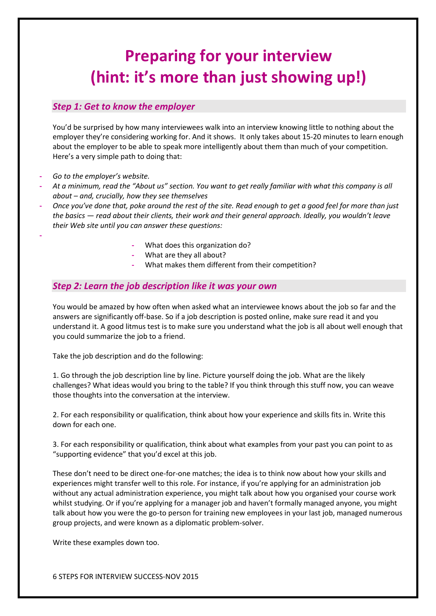# **Preparing for your interview (hint: it's more than just showing up!)**

### *Step 1: Get to know the employer*

You'd be surprised by how many interviewees walk into an interview knowing little to nothing about the employer they're considering working for. And it shows. It only takes about 15-20 minutes to learn enough about the employer to be able to speak more intelligently about them than much of your competition. Here's a very simple path to doing that:

**-** *Go to the employer's website.*

**-**

- **-** *At a minimum, read the "About us" section. You want to get really familiar with what this company is all about – and, crucially, how they see themselves*
- **-** *Once you've done that, poke around the rest of the site. Read enough to get a good feel for more than just the basics — read about their clients, their work and their general approach. Ideally, you wouldn't leave their Web site until you can answer these questions:*
	- **-** What does this organization do?
	- **-** What are they all about?
	- **-** What makes them different from their competition?

### *Step 2: Learn the job description like it was your own*

You would be amazed by how often when asked what an interviewee knows about the job so far and the answers are significantly off-base. So if a job description is posted online, make sure read it and you understand it. A good litmus test is to make sure you understand what the job is all about well enough that you could summarize the job to a friend.

Take the job description and do the following:

1. Go through the job description line by line. Picture yourself doing the job. What are the likely challenges? What ideas would you bring to the table? If you think through this stuff now, you can weave those thoughts into the conversation at the interview.

2. For each responsibility or qualification, think about how your experience and skills fits in. Write this down for each one.

3. For each responsibility or qualification, think about what examples from your past you can point to as "supporting evidence" that you'd excel at this job.

These don't need to be direct one-for-one matches; the idea is to think now about how your skills and experiences might transfer well to this role. For instance, if you're applying for an administration job without any actual administration experience, you might talk about how you organised your course work whilst studying. Or if you're applying for a manager job and haven't formally managed anyone, you might talk about how you were the go-to person for training new employees in your last job, managed numerous group projects, and were known as a diplomatic problem-solver.

Write these examples down too.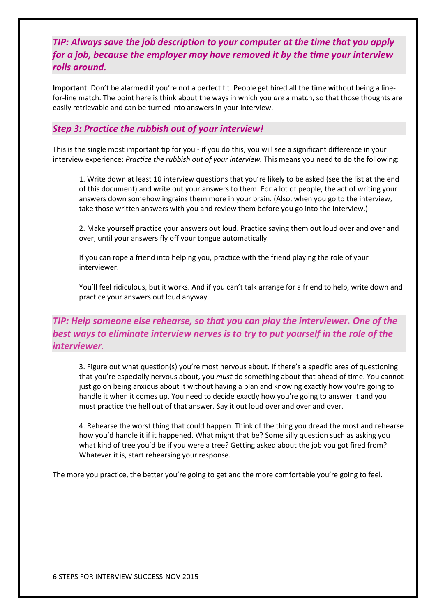## *TIP: Always save the job description to your computer at the time that you apply for a job, because the employer may have removed it by the time your interview rolls around.*

**Important**: Don't be alarmed if you're not a perfect fit. People get hired all the time without being a linefor-line match. The point here is think about the ways in which you *are* a match, so that those thoughts are easily retrievable and can be turned into answers in your interview.

### *Step 3: Practice the rubbish out of your interview!*

This is the single most important tip for you - if you do this, you will see a significant difference in your interview experience: *Practice the rubbish out of your interview.* This means you need to do the following:

1. Write down at least 10 interview questions that you're likely to be asked (see the list at the end of this document) and write out your answers to them. For a lot of people, the act of writing your answers down somehow ingrains them more in your brain. (Also, when you go to the interview, take those written answers with you and review them before you go into the interview.)

2. Make yourself practice your answers out loud. Practice saying them out loud over and over and over, until your answers fly off your tongue automatically.

If you can rope a friend into helping you, practice with the friend playing the role of your interviewer.

You'll feel ridiculous, but it works. And if you can't talk arrange for a friend to help, write down and practice your answers out loud anyway.

## *TIP: Help someone else rehearse, so that you can play the interviewer. One of the best ways to eliminate interview nerves is to try to put yourself in the role of the interviewer.*

3. Figure out what question(s) you're most nervous about. If there's a specific area of questioning that you're especially nervous about, you *must* do something about that ahead of time. You cannot just go on being anxious about it without having a plan and knowing exactly how you're going to handle it when it comes up. You need to decide exactly how you're going to answer it and you must practice the hell out of that answer. Say it out loud over and over and over.

4. Rehearse the worst thing that could happen. Think of the thing you dread the most and rehearse how you'd handle it if it happened. What might that be? Some silly question such as asking you what kind of tree you'd be if you were a tree? Getting asked about the job you got fired from? Whatever it is, start rehearsing your response.

The more you practice, the better you're going to get and the more comfortable you're going to feel.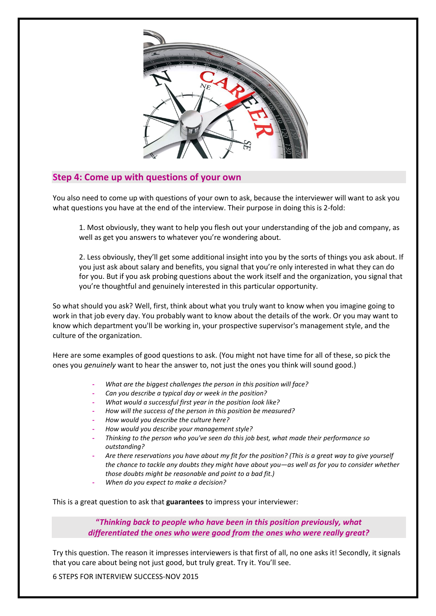

## **Step 4: Come up with questions of your own**

You also need to come up with questions of your own to ask, because the interviewer will want to ask you what questions you have at the end of the interview. Their purpose in doing this is 2-fold:

1. Most obviously, they want to help you flesh out your understanding of the job and company, as well as get you answers to whatever you're wondering about.

2. Less obviously, they'll get some additional insight into you by the sorts of things you ask about. If you just ask about salary and benefits, you signal that you're only interested in what they can do for you. But if you ask probing questions about the work itself and the organization, you signal that you're thoughtful and genuinely interested in this particular opportunity.

So what should you ask? Well, first, think about what you truly want to know when you imagine going to work in that job every day. You probably want to know about the details of the work. Or you may want to know which department you'll be working in, your prospective supervisor's management style, and the culture of the organization.

Here are some examples of good questions to ask. (You might not have time for all of these, so pick the ones you *genuinely* want to hear the answer to, not just the ones you think will sound good.)

- **-** *What are the biggest challenges the person in this position will face?*
- **-** *Can you describe a typical day or week in the position?*
- **-** *What would a successful first year in the position look like?*
- **-** *How will the success of the person in this position be measured?*
- **-** *How would you describe the culture here?*
- **-** *How would you describe your management style?*
- **-** *Thinking to the person who you've seen do this job best, what made their performance so outstanding?*
- **-** *Are there reservations you have about my fit for the position? (This is a great way to give yourself the chance to tackle any doubts they might have about you—as well as for you to consider whether those doubts might be reasonable and point to a bad fit.)*
- **-** *When do you expect to make a decision?*

This is a great question to ask that **guarantees** to impress your interviewer:

**"***Thinking back to people who have been in this position previously, what differentiated the ones who were good from the ones who were really great?*

Try this question. The reason it impresses interviewers is that first of all, no one asks it! Secondly, it signals that you care about being not just good, but truly great. Try it. You'll see.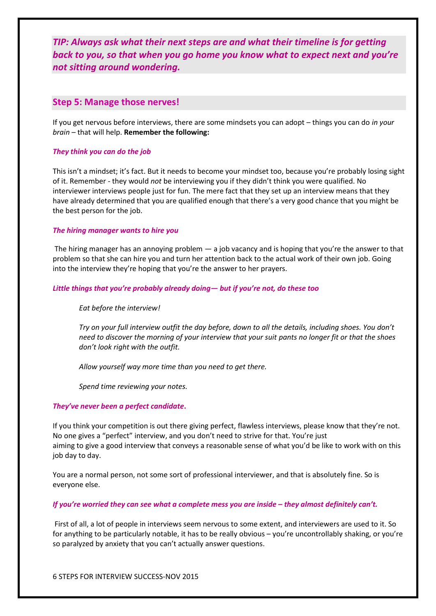*TIP: Always ask what their next steps are and what their timeline is for getting back to you, so that when you go home you know what to expect next and you're not sitting around wondering.*

#### **Step 5: Manage those nerves!**

If you get nervous before interviews, there are some mindsets you can adopt – things you can do *in your brain* – that will help. **Remember the following:**

#### *They think you can do the job*

This isn't a mindset; it's fact. But it needs to become your mindset too, because you're probably losing sight of it. Remember - they would *not* be interviewing you if they didn't think you were qualified. No interviewer interviews people just for fun. The mere fact that they set up an interview means that they have already determined that you are qualified enough that there's a very good chance that you might be the best person for the job.

#### *The hiring manager wants to hire you*

The hiring manager has an annoying problem — a job vacancy and is hoping that you're the answer to that problem so that she can hire you and turn her attention back to the actual work of their own job. Going into the interview they're hoping that you're the answer to her prayers.

#### *Little things that you're probably already doing— but if you're not, do these too*

*Eat before the interview!*

*Try on your full interview outfit the day before, down to all the details, including shoes. You don't need to discover the morning of your interview that your suit pants no longer fit or that the shoes don't look right with the outfit.*

*Allow yourself way more time than you need to get there.* 

*Spend time reviewing your notes.*

#### *They've never been a perfect candidate***.**

If you think your competition is out there giving perfect, flawless interviews, please know that they're not. No one gives a "perfect" interview, and you don't need to strive for that. You're just aiming to give a good interview that conveys a reasonable sense of what you'd be like to work with on this job day to day.

You are a normal person, not some sort of professional interviewer, and that is absolutely fine. So is everyone else.

#### *If you're worried they can see what a complete mess you are inside – they almost definitely can't.*

First of all, a lot of people in interviews seem nervous to some extent, and interviewers are used to it. So for anything to be particularly notable, it has to be really obvious – you're uncontrollably shaking, or you're so paralyzed by anxiety that you can't actually answer questions.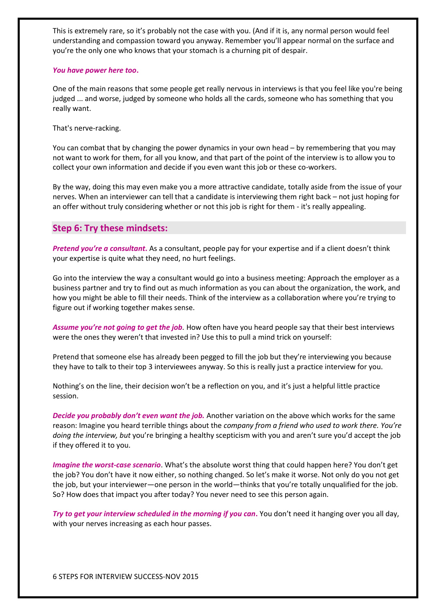This is extremely rare, so it's probably not the case with you. (And if it is, any normal person would feel understanding and compassion toward you anyway. Remember you'll appear normal on the surface and you're the only one who knows that your stomach is a churning pit of despair.

#### *You have power here too***.**

One of the main reasons that some people get really nervous in interviews is that you feel like you're being judged ... and worse, judged by someone who holds all the cards, someone who has something that you really want.

That's nerve-racking.

You can combat that by changing the power dynamics in your own head – by remembering that you may not want to work for them, for all you know, and that part of the point of the interview is to allow you to collect your own information and decide if you even want this job or these co-workers.

By the way, doing this may even make you a more attractive candidate, totally aside from the issue of your nerves. When an interviewer can tell that a candidate is interviewing them right back – not just hoping for an offer without truly considering whether or not this job is right for them - it's really appealing.

## **Step 6: Try these mindsets:**

*Pretend you're a consultant***.** As a consultant, people pay for your expertise and if a client doesn't think your expertise is quite what they need, no hurt feelings.

Go into the interview the way a consultant would go into a business meeting: Approach the employer as a business partner and try to find out as much information as you can about the organization, the work, and how you might be able to fill their needs. Think of the interview as a collaboration where you're trying to figure out if working together makes sense.

*Assume you're not going to get the job.* How often have you heard people say that their best interviews were the ones they weren't that invested in? Use this to pull a mind trick on yourself:

Pretend that someone else has already been pegged to fill the job but they're interviewing you because they have to talk to their top 3 interviewees anyway. So this is really just a practice interview for you.

Nothing's on the line, their decision won't be a reflection on you, and it's just a helpful little practice session.

*Decide you probably don't even want the job.* Another variation on the above which works for the same reason: Imagine you heard terrible things about the *company from a friend who used to work there. You're doing the interview, but* you're bringing a healthy scepticism with you and aren't sure you'd accept the job if they offered it to you.

*Imagine the worst-case scenario*. What's the absolute worst thing that could happen here? You don't get the job? You don't have it now either, so nothing changed. So let's make it worse. Not only do you not get the job, but your interviewer—one person in the world—thinks that you're totally unqualified for the job. So? How does that impact you after today? You never need to see this person again.

*Try to get your interview scheduled in the morning if you can***.** You don't need it hanging over you all day, with your nerves increasing as each hour passes.